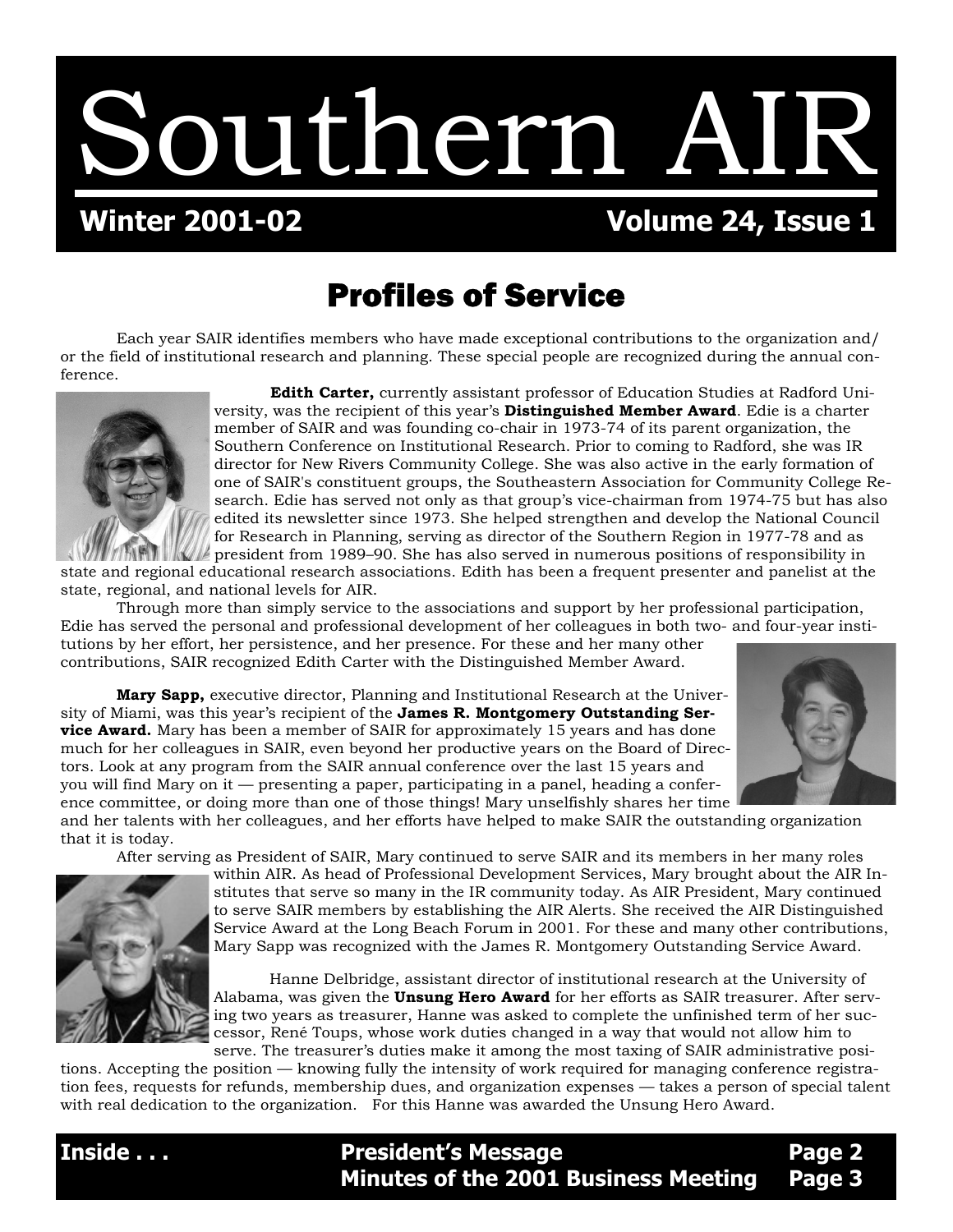Southern AIR

## **Winter 2001-02 Volume 24, Issue 1**

## Profiles of Service

Each year SAIR identifies members who have made exceptional contributions to the organization and/ or the field of institutional research and planning. These special people are recognized during the annual conference.



 **Edith Carter,** currently assistant professor of Education Studies at Radford University, was the recipient of this year's **Distinguished Member Award**. Edie is a charter member of SAIR and was founding co-chair in 1973-74 of its parent organization, the Southern Conference on Institutional Research. Prior to coming to Radford, she was IR director for New Rivers Community College. She was also active in the early formation of one of SAIR's constituent groups, the Southeastern Association for Community College Research. Edie has served not only as that group's vice-chairman from 1974-75 but has also edited its newsletter since 1973. She helped strengthen and develop the National Council for Research in Planning, serving as director of the Southern Region in 1977-78 and as president from 1989–90. She has also served in numerous positions of responsibility in

state and regional educational research associations. Edith has been a frequent presenter and panelist at the state, regional, and national levels for AIR.

 Through more than simply service to the associations and support by her professional participation, Edie has served the personal and professional development of her colleagues in both two- and four-year institutions by her effort, her persistence, and her presence. For these and her many other contributions, SAIR recognized Edith Carter with the Distinguished Member Award.

 **Mary Sapp,** executive director, Planning and Institutional Research at the University of Miami, was this year's recipient of the **James R. Montgomery Outstanding Service Award.** Mary has been a member of SAIR for approximately 15 years and has done much for her colleagues in SAIR, even beyond her productive years on the Board of Directors. Look at any program from the SAIR annual conference over the last 15 years and you will find Mary on it — presenting a paper, participating in a panel, heading a conference committee, or doing more than one of those things! Mary unselfishly shares her time



and her talents with her colleagues, and her efforts have helped to make SAIR the outstanding organization that it is today.

After serving as President of SAIR, Mary continued to serve SAIR and its members in her many roles



within AIR. As head of Professional Development Services, Mary brought about the AIR Institutes that serve so many in the IR community today. As AIR President, Mary continued to serve SAIR members by establishing the AIR Alerts. She received the AIR Distinguished Service Award at the Long Beach Forum in 2001. For these and many other contributions, Mary Sapp was recognized with the James R. Montgomery Outstanding Service Award.

Hanne Delbridge, assistant director of institutional research at the University of Alabama, was given the **Unsung Hero Award** for her efforts as SAIR treasurer. After serving two years as treasurer, Hanne was asked to complete the unfinished term of her successor, René Toups, whose work duties changed in a way that would not allow him to serve. The treasurer's duties make it among the most taxing of SAIR administrative posi-

 **Minutes of the 2001 Business Meeting Page 3**

tions. Accepting the position — knowing fully the intensity of work required for managing conference registration fees, requests for refunds, membership dues, and organization expenses — takes a person of special talent with real dedication to the organization. For this Hanne was awarded the Unsung Hero Award.

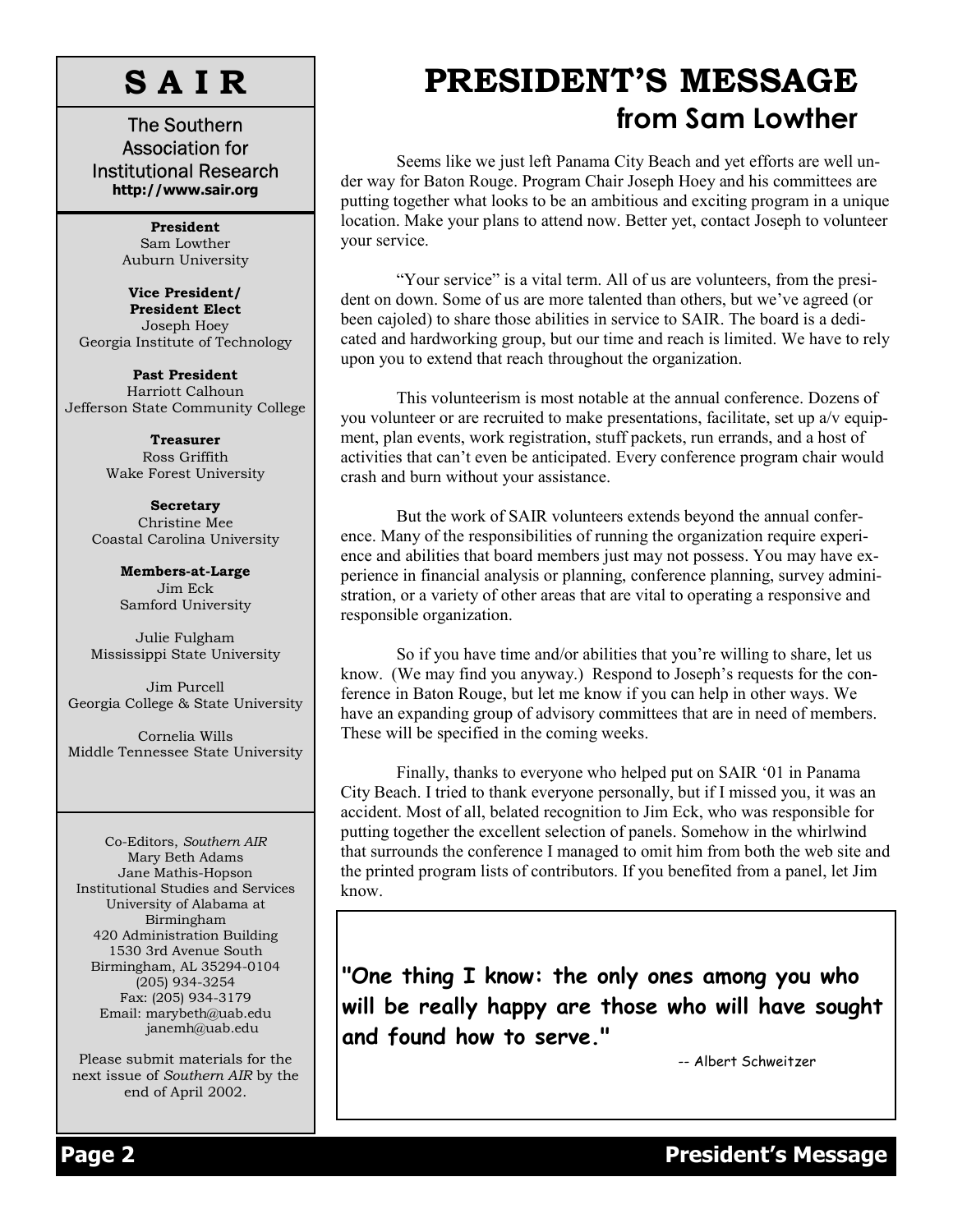# **S A I R**

The Southern Association for Institutional Research **http://www.sair.org** 

> **President**  Sam Lowther Auburn University

**Vice President/ President Elect**  Joseph Hoey Georgia Institute of Technology

**Past President**  Harriott Calhoun Jefferson State Community College

> **Treasurer**  Ross Griffith Wake Forest University

**Secretary**  Christine Mee Coastal Carolina University

> **Members-at-Large** Jim Eck Samford University

Julie Fulgham Mississippi State University

Jim Purcell Georgia College & State University

Cornelia Wills Middle Tennessee State University

Co-Editors, *Southern AIR*  Mary Beth Adams Jane Mathis-Hopson Institutional Studies and Services University of Alabama at Birmingham 420 Administration Building 1530 3rd Avenue South Birmingham, AL 35294-0104 (205) 934-3254 Fax: (205) 934-3179 Email: marybeth@uab.edu janemh@uab.edu

Please submit materials for the next issue of *Southern AIR* by the end of April 2002.

# **PRESIDENT'S MESSAGE from Sam Lowther**

Seems like we just left Panama City Beach and yet efforts are well under way for Baton Rouge. Program Chair Joseph Hoey and his committees are putting together what looks to be an ambitious and exciting program in a unique location. Make your plans to attend now. Better yet, contact Joseph to volunteer your service.

"Your service" is a vital term. All of us are volunteers, from the president on down. Some of us are more talented than others, but we've agreed (or been cajoled) to share those abilities in service to SAIR. The board is a dedicated and hardworking group, but our time and reach is limited. We have to rely upon you to extend that reach throughout the organization.

This volunteerism is most notable at the annual conference. Dozens of you volunteer or are recruited to make presentations, facilitate, set up a/v equipment, plan events, work registration, stuff packets, run errands, and a host of activities that can't even be anticipated. Every conference program chair would crash and burn without your assistance.

But the work of SAIR volunteers extends beyond the annual conference. Many of the responsibilities of running the organization require experience and abilities that board members just may not possess. You may have experience in financial analysis or planning, conference planning, survey administration, or a variety of other areas that are vital to operating a responsive and responsible organization.

So if you have time and/or abilities that you're willing to share, let us know. (We may find you anyway.) Respond to Joseph's requests for the conference in Baton Rouge, but let me know if you can help in other ways. We have an expanding group of advisory committees that are in need of members. These will be specified in the coming weeks.

 Finally, thanks to everyone who helped put on SAIR '01 in Panama City Beach. I tried to thank everyone personally, but if I missed you, it was an accident. Most of all, belated recognition to Jim Eck, who was responsible for putting together the excellent selection of panels. Somehow in the whirlwind that surrounds the conference I managed to omit him from both the web site and the printed program lists of contributors. If you benefited from a panel, let Jim know.

**"One thing I know: the only ones among you who will be really happy are those who will have sought and found how to serve."** 

-- Albert Schweitzer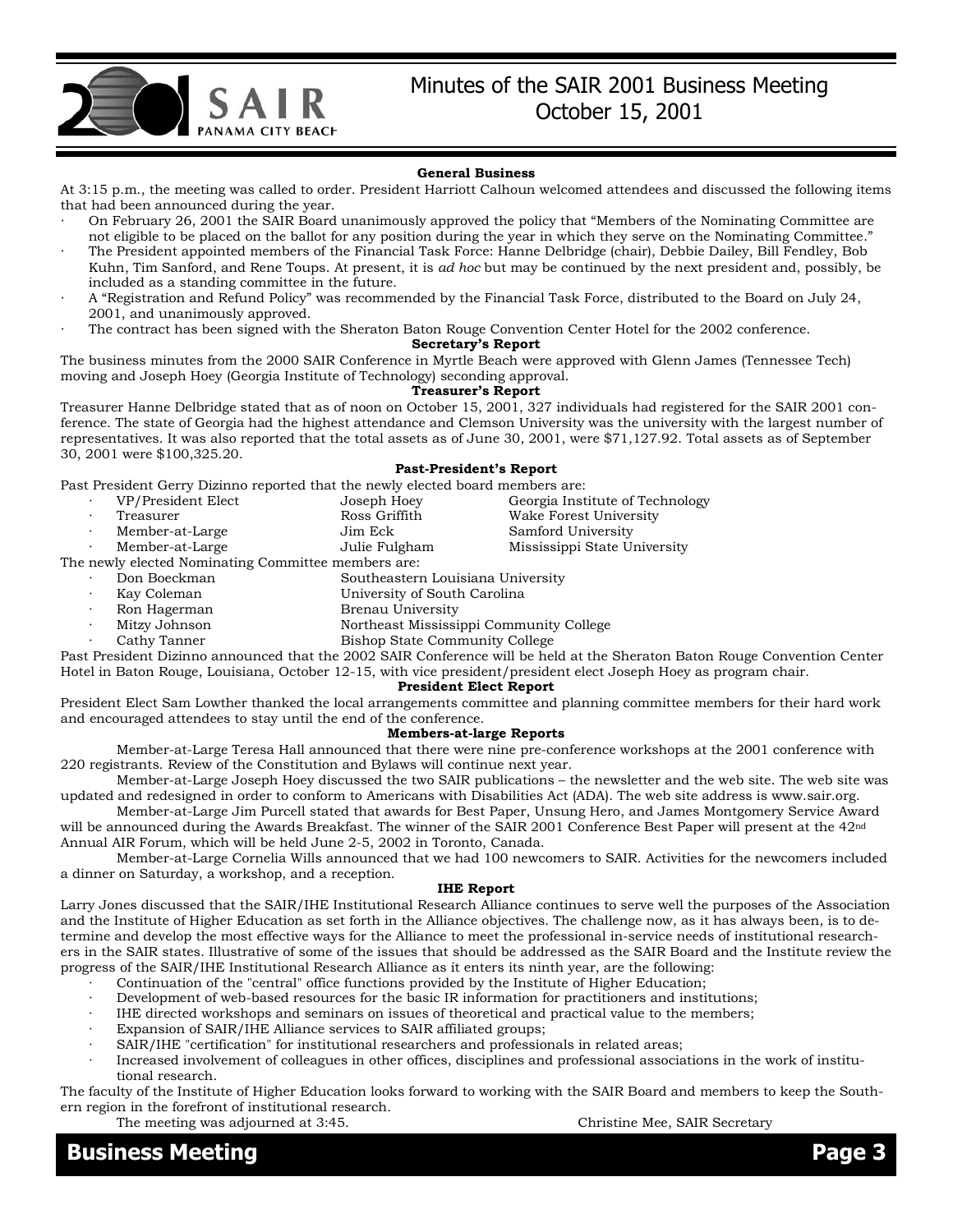

### Minutes of the SAIR 2001 Business Meeting October 15, 2001

#### **General Business**

At 3:15 p.m., the meeting was called to order. President Harriott Calhoun welcomed attendees and discussed the following items that had been announced during the year.

- · On February 26, 2001 the SAIR Board unanimously approved the policy that "Members of the Nominating Committee are not eligible to be placed on the ballot for any position during the year in which they serve on the Nominating Committee."
- The President appointed members of the Financial Task Force: Hanne Delbridge (chair), Debbie Dailey, Bill Fendley, Bob Kuhn, Tim Sanford, and Rene Toups. At present, it is *ad hoc* but may be continued by the next president and, possibly, be included as a standing committee in the future.
- · A "Registration and Refund Policy" was recommended by the Financial Task Force, distributed to the Board on July 24, 2001, and unanimously approved.
- The contract has been signed with the Sheraton Baton Rouge Convention Center Hotel for the 2002 conference.

#### **Secretary's Report**

The business minutes from the 2000 SAIR Conference in Myrtle Beach were approved with Glenn James (Tennessee Tech) moving and Joseph Hoey (Georgia Institute of Technology) seconding approval.

### **Treasurer's Report**

Treasurer Hanne Delbridge stated that as of noon on October 15, 2001, 327 individuals had registered for the SAIR 2001 conference. The state of Georgia had the highest attendance and Clemson University was the university with the largest number of representatives. It was also reported that the total assets as of June 30, 2001, were \$71,127.92. Total assets as of September 30, 2001 were \$100,325.20.

#### **Past-President's Report**

Past President Gerry Dizinno reported that the newly elected board members are:

| VP/President Elect                                  | Joseph Hoey                                                                                                                                                                                                                                                                                      | Georgia Institute of Technology |  |  |  |
|-----------------------------------------------------|--------------------------------------------------------------------------------------------------------------------------------------------------------------------------------------------------------------------------------------------------------------------------------------------------|---------------------------------|--|--|--|
| Treasurer                                           | Ross Griffith                                                                                                                                                                                                                                                                                    | Wake Forest University          |  |  |  |
| Member-at-Large                                     | Jim Eck                                                                                                                                                                                                                                                                                          | Samford University              |  |  |  |
| Member-at-Large                                     | Julie Fulgham                                                                                                                                                                                                                                                                                    | Mississippi State University    |  |  |  |
| The newly elected Nominating Committee members are: |                                                                                                                                                                                                                                                                                                  |                                 |  |  |  |
| Don Boeckman                                        | Southeastern Louisiana University                                                                                                                                                                                                                                                                |                                 |  |  |  |
| Kay Coleman                                         | University of South Carolina                                                                                                                                                                                                                                                                     |                                 |  |  |  |
| $\mathbf{n}$ . If $\ldots$                          | $\mathbf{D}$ and $\mathbf{H}$ and $\mathbf{H}$ and $\mathbf{H}$ and $\mathbf{H}$ and $\mathbf{H}$ and $\mathbf{H}$ and $\mathbf{H}$ and $\mathbf{H}$ and $\mathbf{H}$ and $\mathbf{H}$ and $\mathbf{H}$ and $\mathbf{H}$ and $\mathbf{H}$ and $\mathbf{H}$ and $\mathbf{H}$ and $\mathbf{H}$ and |                                 |  |  |  |

- - Ron Hagerman Brenau University
		- Mitzy Johnson Northeast Mississippi Community College
		- Cathy Tanner **Bishop State Community College**

Past President Dizinno announced that the 2002 SAIR Conference will be held at the Sheraton Baton Rouge Convention Center Hotel in Baton Rouge, Louisiana, October 12-15, with vice president/president elect Joseph Hoey as program chair.

### **President Elect Report**

President Elect Sam Lowther thanked the local arrangements committee and planning committee members for their hard work and encouraged attendees to stay until the end of the conference.

#### **Members-at-large Reports**

 Member-at-Large Teresa Hall announced that there were nine pre-conference workshops at the 2001 conference with 220 registrants. Review of the Constitution and Bylaws will continue next year.

 Member-at-Large Joseph Hoey discussed the two SAIR publications – the newsletter and the web site. The web site was updated and redesigned in order to conform to Americans with Disabilities Act (ADA). The web site address is www.sair.org.

 Member-at-Large Jim Purcell stated that awards for Best Paper, Unsung Hero, and James Montgomery Service Award will be announced during the Awards Breakfast. The winner of the SAIR 2001 Conference Best Paper will present at the 42nd Annual AIR Forum, which will be held June 2-5, 2002 in Toronto, Canada.

 Member-at-Large Cornelia Wills announced that we had 100 newcomers to SAIR. Activities for the newcomers included a dinner on Saturday, a workshop, and a reception.

#### **IHE Report**

Larry Jones discussed that the SAIR/IHE Institutional Research Alliance continues to serve well the purposes of the Association and the Institute of Higher Education as set forth in the Alliance objectives. The challenge now, as it has always been, is to determine and develop the most effective ways for the Alliance to meet the professional in-service needs of institutional researchers in the SAIR states. Illustrative of some of the issues that should be addressed as the SAIR Board and the Institute review the progress of the SAIR/IHE Institutional Research Alliance as it enters its ninth year, are the following:

- · Continuation of the "central" office functions provided by the Institute of Higher Education;
- Development of web-based resources for the basic IR information for practitioners and institutions;
- IHE directed workshops and seminars on issues of theoretical and practical value to the members;
- Expansion of SAIR/IHE Alliance services to SAIR affiliated groups;
- SAIR/IHE "certification" for institutional researchers and professionals in related areas;
- Increased involvement of colleagues in other offices, disciplines and professional associations in the work of institutional research.

The faculty of the Institute of Higher Education looks forward to working with the SAIR Board and members to keep the Southern region in the forefront of institutional research.

The meeting was adjourned at 3:45. Christine Mee, SAIR Secretary

### **Business Meeting Page 3**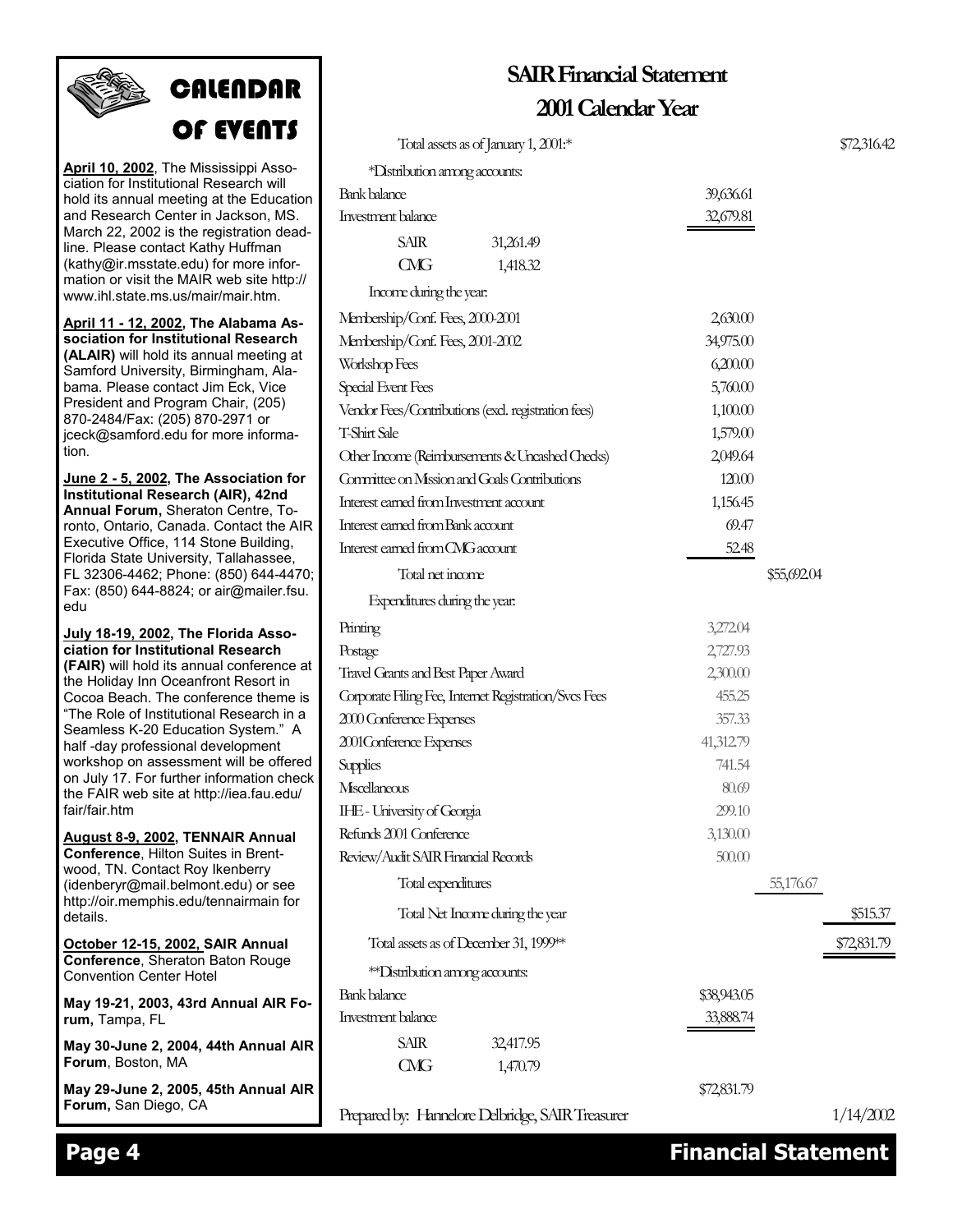# **CALENDAR** OF EVENTS

**April 10, 2002**, The Mississippi Association for Institutional Research will hold its annual meeting at the Education and Research Center in Jackson, MS. March 22, 2002 is the registration deadline. Please contact Kathy Huffman (kathy@ir.msstate.edu) for more information or visit the MAIR web site http:// www.ihl.state.ms.us/mair/mair.htm.

**April 11 - 12, 2002, The Alabama Association for Institutional Research (ALAIR)** will hold its annual meeting at Samford University, Birmingham, Alabama. Please contact Jim Eck, Vice President and Program Chair, (205) 870-2484/Fax: (205) 870-2971 or jceck@samford.edu for more information.

**June 2 - 5, 2002, The Association for Institutional Research (AIR), 42nd Annual Forum,** Sheraton Centre, Toronto, Ontario, Canada. Contact the AIR Executive Office, 114 Stone Building, Florida State University, Tallahassee, FL 32306-4462; Phone: (850) 644-4470; Fax: (850) 644-8824; or air@mailer.fsu. edu

**July 18-19, 2002, The Florida Association for Institutional Research (FAIR)** will hold its annual conference at the Holiday Inn Oceanfront Resort in Cocoa Beach. The conference theme is "The Role of Institutional Research in a Seamless K-20 Education System." A half -day professional development workshop on assessment will be offered on July 17. For further information check the FAIR web site at http://iea.fau.edu/ fair/fair.htm

**August 8-9, 2002, TENNAIR Annual Conference**, Hilton Suites in Brentwood, TN. Contact Roy Ikenberry (idenberyr@mail.belmont.edu) or see http://oir.memphis.edu/tennairmain for details.

**October 12-15, 2002, SAIR Annual Conference**, Sheraton Baton Rouge Convention Center Hotel

**May 19-21, 2003, 43rd Annual AIR Forum,** Tampa, FL

**May 30-June 2, 2004, 44th Annual AIR Forum**, Boston, MA

**May 29-June 2, 2005, 45th Annual AIR Forum,** San Diego, CA

| Total assets as of January 1, $2001$ <sup>*</sup>     |           |             | \$72,316.42 |
|-------------------------------------------------------|-----------|-------------|-------------|
| *Distribution among accounts:                         |           |             |             |
| Bank balance                                          | 39,636.61 |             |             |
| Investment balance                                    | 32,679.81 |             |             |
| <b>SAIR</b><br>31,261.49                              |           |             |             |
| $C\!M\!G$<br>1,418.32                                 |           |             |             |
| Income during the year.                               |           |             |             |
| Membership/Conf. Fees, 2000-2001                      | 2,630.00  |             |             |
| Membership/Conf. Fees, 2001-2002                      | 34,975.00 |             |             |
| Workshop Fees                                         | 6,200.00  |             |             |
| Special Event Fees                                    | 5,760.00  |             |             |
| Vendor Fees/Contributions (excl. registration fees)   | 1,100.00  |             |             |
| T-Shirt Sale                                          | 1,579.00  |             |             |
| Other Income (Reimbursements & Uncashed Checks)       | 2,049.64  |             |             |
| Committee on Mission and Goals Contributions          | 120.00    |             |             |
| Interest earned from Investment account               | 1,156.45  |             |             |
| Interest earned from Bank account                     | 69.47     |             |             |
| Interest earned from CMG account                      | 52.48     |             |             |
| Total net income                                      |           | \$55,692.04 |             |
| Expenditures during the year:                         |           |             |             |
| Printing                                              | 3,272.04  |             |             |
| Postage                                               | 2,727.93  |             |             |
| Travel Grants and Best Paper Award                    | 2,300.00  |             |             |
| Corporate Filing Fee, Internet Registration/Svcs Fees | 455.25    |             |             |
| 2000 Conference Expenses                              | 357.33    |             |             |
| 2001 Conference Expenses                              | 41,312.79 |             |             |
| Supplies                                              | 741.54    |             |             |
| Miscellaneous                                         | 80.69     |             |             |
| IHE-University of Georgia                             | 299.10    |             |             |
| Refunds 2001 Conference                               | 3,130.00  |             |             |
| Review/Audit SAIR Financial Records                   | 500.00    |             |             |
| Total expenditures                                    |           | 55,176.67   |             |
| Total Net Income during the year                      |           |             | \$515.37    |
| Total assets as of December 31, 1999**                |           |             | \$72,831.79 |

**SAIR Financial Statement**

**2001 Calendar Year**

\*\*Distribution among accounts:

Bank balance \$38,943.05

Investment balance 33,888.74 SAIR 32,417.95 CMG 1,470.79

Prepared by: Hannelore Delbridge, SAIR Treasurer 1/14/2002

\$72,831.79

**Page 4 Financial Statement**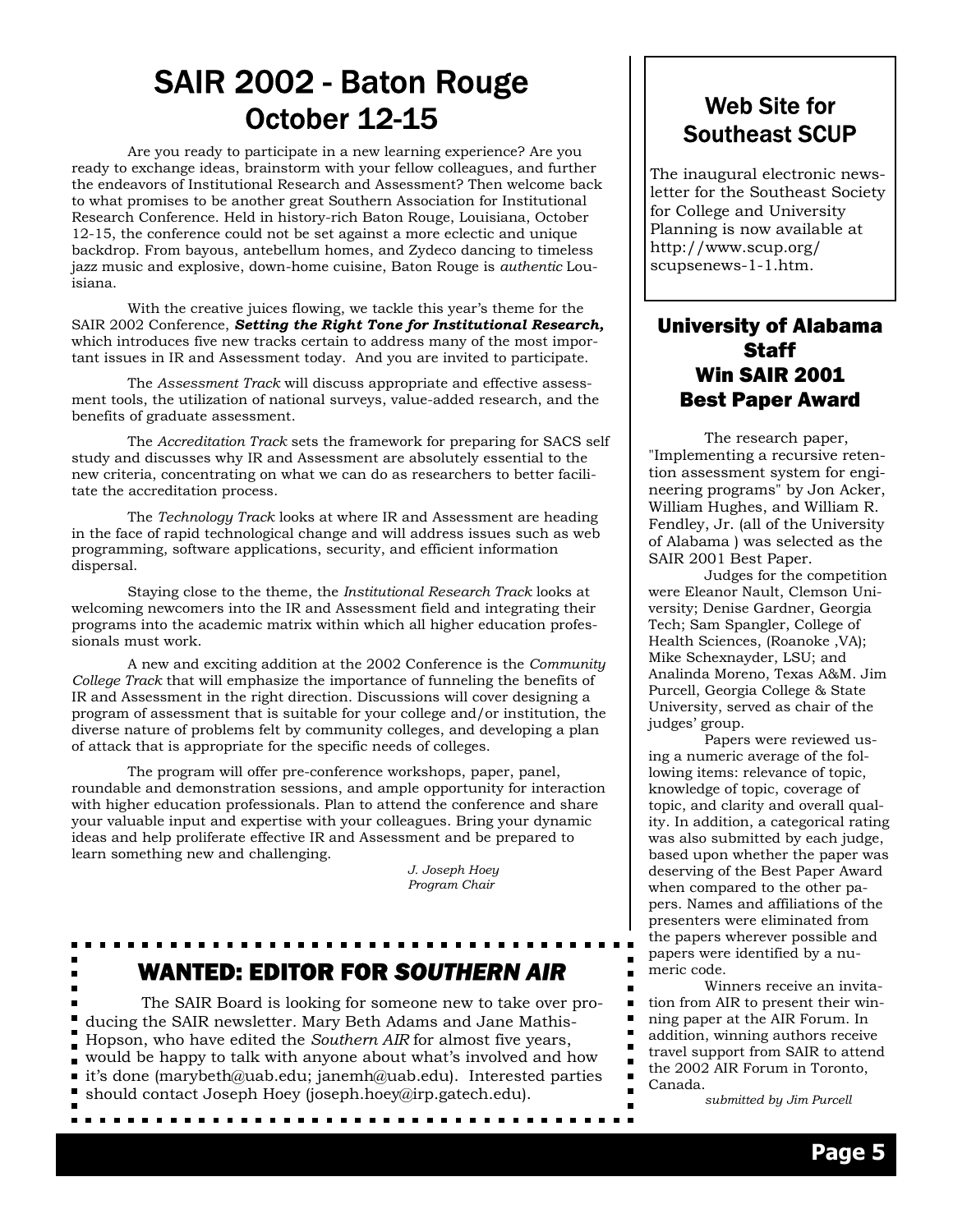### SAIR 2002 - Baton Rouge October 12-15

Are you ready to participate in a new learning experience? Are you ready to exchange ideas, brainstorm with your fellow colleagues, and further the endeavors of Institutional Research and Assessment? Then welcome back to what promises to be another great Southern Association for Institutional Research Conference. Held in history-rich Baton Rouge, Louisiana, October 12-15, the conference could not be set against a more eclectic and unique backdrop. From bayous, antebellum homes, and Zydeco dancing to timeless jazz music and explosive, down-home cuisine, Baton Rouge is *authentic* Louisiana.

 With the creative juices flowing, we tackle this year's theme for the SAIR 2002 Conference, *Setting the Right Tone for Institutional Research,* which introduces five new tracks certain to address many of the most important issues in IR and Assessment today. And you are invited to participate.

 The *Assessment Track* will discuss appropriate and effective assessment tools, the utilization of national surveys, value-added research, and the benefits of graduate assessment.

 The *Accreditation Track* sets the framework for preparing for SACS self study and discusses why IR and Assessment are absolutely essential to the new criteria, concentrating on what we can do as researchers to better facilitate the accreditation process.

 The *Technology Track* looks at where IR and Assessment are heading in the face of rapid technological change and will address issues such as web programming, software applications, security, and efficient information dispersal.

 Staying close to the theme, the *Institutional Research Track* looks at welcoming newcomers into the IR and Assessment field and integrating their programs into the academic matrix within which all higher education professionals must work.

 A new and exciting addition at the 2002 Conference is the *Community College Track* that will emphasize the importance of funneling the benefits of IR and Assessment in the right direction. Discussions will cover designing a program of assessment that is suitable for your college and/or institution, the diverse nature of problems felt by community colleges, and developing a plan of attack that is appropriate for the specific needs of colleges.

 The program will offer pre-conference workshops, paper, panel, roundable and demonstration sessions, and ample opportunity for interaction with higher education professionals. Plan to attend the conference and share your valuable input and expertise with your colleagues. Bring your dynamic ideas and help proliferate effective IR and Assessment and be prepared to learn something new and challenging.

> *J. Joseph Hoey Program Chair*

# WANTED: EDITOR FOR *SOUTHERN AIR*

 The SAIR Board is looking for someone new to take over producing the SAIR newsletter*.* Mary Beth Adams and Jane Mathis-Hopson, who have edited the *Southern AIR* for almost five years, would be happy to talk with anyone about what's involved and how it's done (marybeth@uab.edu; janemh@uab.edu). Interested parties should contact Joseph Hoey (joseph.hoey@irp.gatech.edu).

### Web Site for Southeast SCUP

The inaugural electronic newsletter for the Southeast Society for College and University Planning is now available at http://www.scup.org/ scupsenews-1-1.htm.

### University of Alabama **Staff** Win SAIR 2001 Best Paper Award

The research paper, "Implementing a recursive retention assessment system for engineering programs" by Jon Acker, William Hughes, and William R. Fendley, Jr. (all of the University of Alabama ) was selected as the SAIR 2001 Best Paper.

 Judges for the competition were Eleanor Nault, Clemson University; Denise Gardner, Georgia Tech; Sam Spangler, College of Health Sciences, (Roanoke ,VA); Mike Schexnayder, LSU; and Analinda Moreno, Texas A&M. Jim Purcell, Georgia College & State University, served as chair of the judges' group.

 Papers were reviewed using a numeric average of the following items: relevance of topic, knowledge of topic, coverage of topic, and clarity and overall quality. In addition, a categorical rating was also submitted by each judge, based upon whether the paper was deserving of the Best Paper Award when compared to the other papers. Names and affiliations of the presenters were eliminated from the papers wherever possible and papers were identified by a numeric code.

 Winners receive an invitation from AIR to present their winning paper at the AIR Forum. In addition, winning authors receive travel support from SAIR to attend the 2002 AIR Forum in Toronto, Canada.

 $\blacksquare$ 

 *submitted by Jim Purcell*